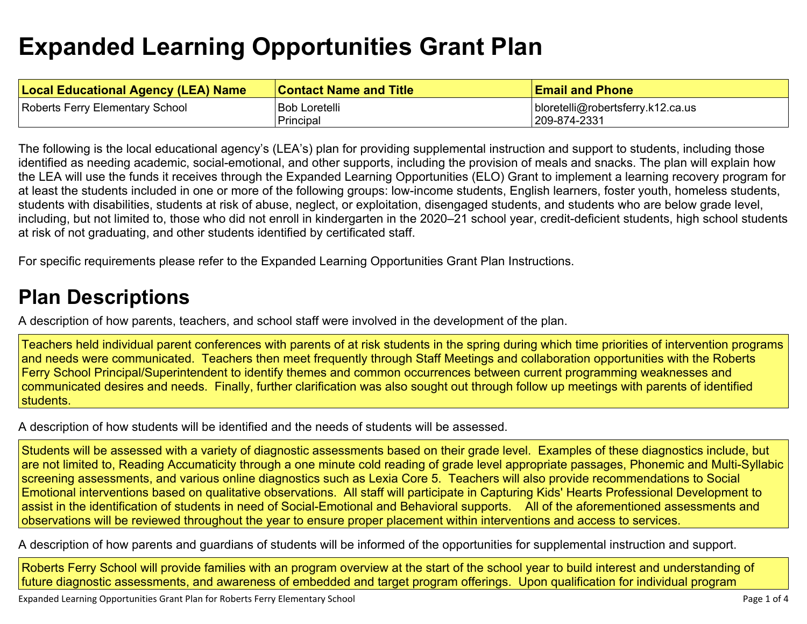## **Expanded Learning Opportunities Grant Plan**

| <b>Local Educational Agency (LEA) Name</b> | <b>Contact Name and Title</b> | <b>Email and Phone</b>            |
|--------------------------------------------|-------------------------------|-----------------------------------|
| Roberts Ferry Elementary School            | <b>Bob Loretelli</b>          | bloretelli@robertsferry.k12.ca.us |
|                                            | Principal                     | 209-874-2331                      |

The following is the local educational agency's (LEA's) plan for providing supplemental instruction and support to students, including those identified as needing academic, social-emotional, and other supports, including the provision of meals and snacks. The plan will explain how the LEA will use the funds it receives through the Expanded Learning Opportunities (ELO) Grant to implement a learning recovery program for at least the students included in one or more of the following groups: low-income students, English learners, foster youth, homeless students, students with disabilities, students at risk of abuse, neglect, or exploitation, disengaged students, and students who are below grade level, including, but not limited to, those who did not enroll in kindergarten in the 2020–21 school year, credit-deficient students, high school students at risk of not graduating, and other students identified by certificated staff.

For specific requirements please refer to the Expanded Learning Opportunities Grant Plan Instructions.

## **Plan Descriptions**

A description of how parents, teachers, and school staff were involved in the development of the plan.

Teachers held individual parent conferences with parents of at risk students in the spring during which time priorities of intervention programs and needs were communicated. Teachers then meet frequently through Staff Meetings and collaboration opportunities with the Roberts Ferry School Principal/Superintendent to identify themes and common occurrences between current programming weaknesses and communicated desires and needs. Finally, further clarification was also sought out through follow up meetings with parents of identified students.

A description of how students will be identified and the needs of students will be assessed.

Students will be assessed with a variety of diagnostic assessments based on their grade level. Examples of these diagnostics include, but are not limited to, Reading Accumaticity through a one minute cold reading of grade level appropriate passages, Phonemic and Multi-Syllabic screening assessments, and various online diagnostics such as Lexia Core 5. Teachers will also provide recommendations to Social Emotional interventions based on qualitative observations. All staff will participate in Capturing Kids' Hearts Professional Development to assist in the identification of students in need of Social-Emotional and Behavioral supports. All of the aforementioned assessments and observations will be reviewed throughout the year to ensure proper placement within interventions and access to services.

A description of how parents and guardians of students will be informed of the opportunities for supplemental instruction and support.

Roberts Ferry School will provide families with an program overview at the start of the school year to build interest and understanding of future diagnostic assessments, and awareness of embedded and target program offerings. Upon qualification for individual program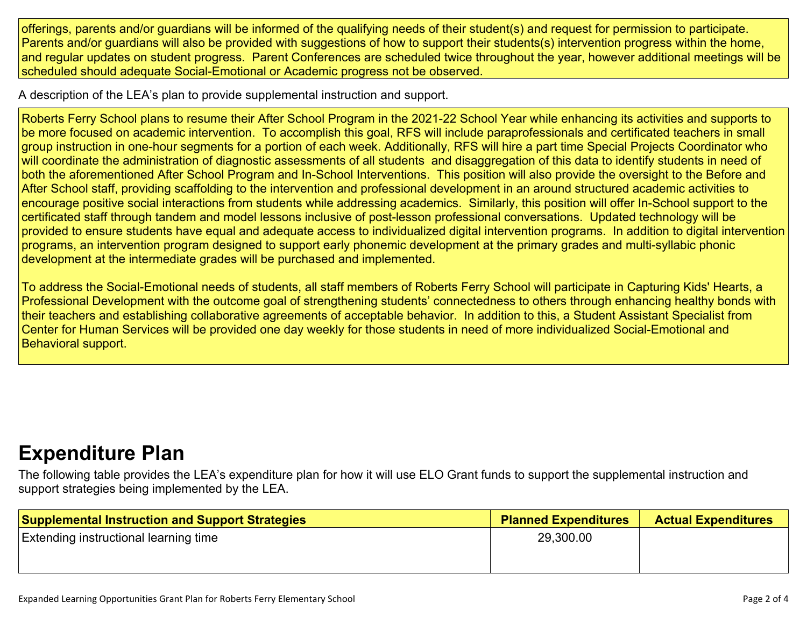offerings, parents and/or guardians will be informed of the qualifying needs of their student(s) and request for permission to participate. Parents and/or guardians will also be provided with suggestions of how to support their students(s) intervention progress within the home, and regular updates on student progress. Parent Conferences are scheduled twice throughout the year, however additional meetings will be scheduled should adequate Social-Emotional or Academic progress not be observed.

A description of the LEA's plan to provide supplemental instruction and support.

Roberts Ferry School plans to resume their After School Program in the 2021-22 School Year while enhancing its activities and supports to be more focused on academic intervention. To accomplish this goal, RFS will include paraprofessionals and certificated teachers in small group instruction in one-hour segments for a portion of each week. Additionally, RFS will hire a part time Special Projects Coordinator who will coordinate the administration of diagnostic assessments of all students and disaggregation of this data to identify students in need of both the aforementioned After School Program and In-School Interventions. This position will also provide the oversight to the Before and After School staff, providing scaffolding to the intervention and professional development in an around structured academic activities to encourage positive social interactions from students while addressing academics. Similarly, this position will offer In-School support to the certificated staff through tandem and model lessons inclusive of post-lesson professional conversations. Updated technology will be provided to ensure students have equal and adequate access to individualized digital intervention programs. In addition to digital intervention programs, an intervention program designed to support early phonemic development at the primary grades and multi-syllabic phonic development at the intermediate grades will be purchased and implemented.

To address the Social-Emotional needs of students, all staff members of Roberts Ferry School will participate in Capturing Kids' Hearts, a Professional Development with the outcome goal of strengthening students' connectedness to others through enhancing healthy bonds with their teachers and establishing collaborative agreements of acceptable behavior. In addition to this, a Student Assistant Specialist from Center for Human Services will be provided one day weekly for those students in need of more individualized Social-Emotional and Behavioral support.

## **Expenditure Plan**

The following table provides the LEA's expenditure plan for how it will use ELO Grant funds to support the supplemental instruction and support strategies being implemented by the LEA.

| <b>Supplemental Instruction and Support Strategies</b> | <b>Planned Expenditures</b> | <b>Actual Expenditures</b> |
|--------------------------------------------------------|-----------------------------|----------------------------|
| <b>Extending instructional learning time</b>           | 29,300.00                   |                            |
|                                                        |                             |                            |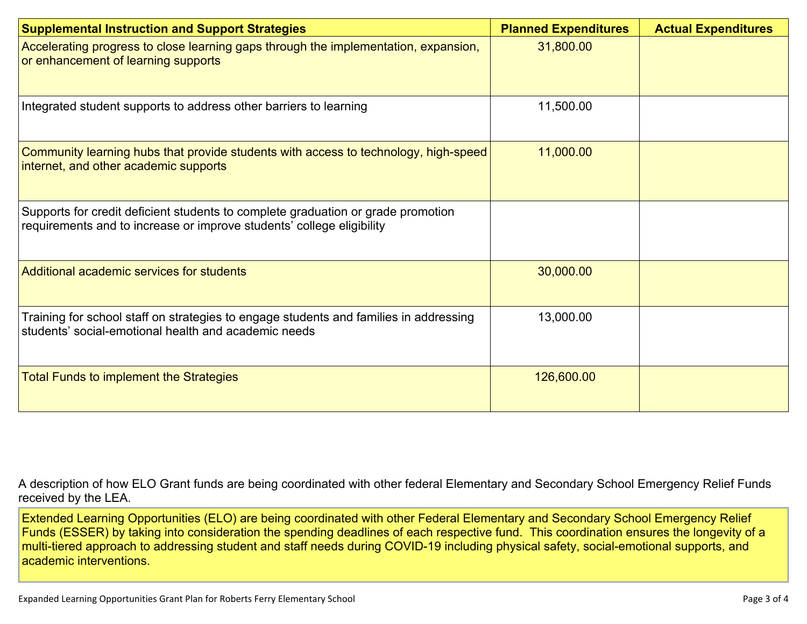| <b>Supplemental Instruction and Support Strategies</b>                                                                                                    | <b>Planned Expenditures</b> | <b>Actual Expenditures</b> |
|-----------------------------------------------------------------------------------------------------------------------------------------------------------|-----------------------------|----------------------------|
| Accelerating progress to close learning gaps through the implementation, expansion,<br>or enhancement of learning supports                                | 31,800.00                   |                            |
| Integrated student supports to address other barriers to learning                                                                                         | 11,500.00                   |                            |
| Community learning hubs that provide students with access to technology, high-speed<br>internet, and other academic supports                              | 11,000.00                   |                            |
| Supports for credit deficient students to complete graduation or grade promotion<br>requirements and to increase or improve students' college eligibility |                             |                            |
| Additional academic services for students                                                                                                                 | 30,000.00                   |                            |
| Training for school staff on strategies to engage students and families in addressing<br>students' social-emotional health and academic needs             | 13,000.00                   |                            |
| <b>Total Funds to implement the Strategies</b>                                                                                                            | 126,600.00                  |                            |

A description of how ELO Grant funds are being coordinated with other federal Elementary and Secondary School Emergency Relief Funds received by the LEA.

Extended Learning Opportunities (ELO) are being coordinated with other Federal Elementary and Secondary School Emergency Relief Funds (ESSER) by taking into consideration the spending deadlines of each respective fund. This coordination ensures the longevity of a multi-tiered approach to addressing student and staff needs during COVID-19 including physical safety, social-emotional supports, and academic interventions.